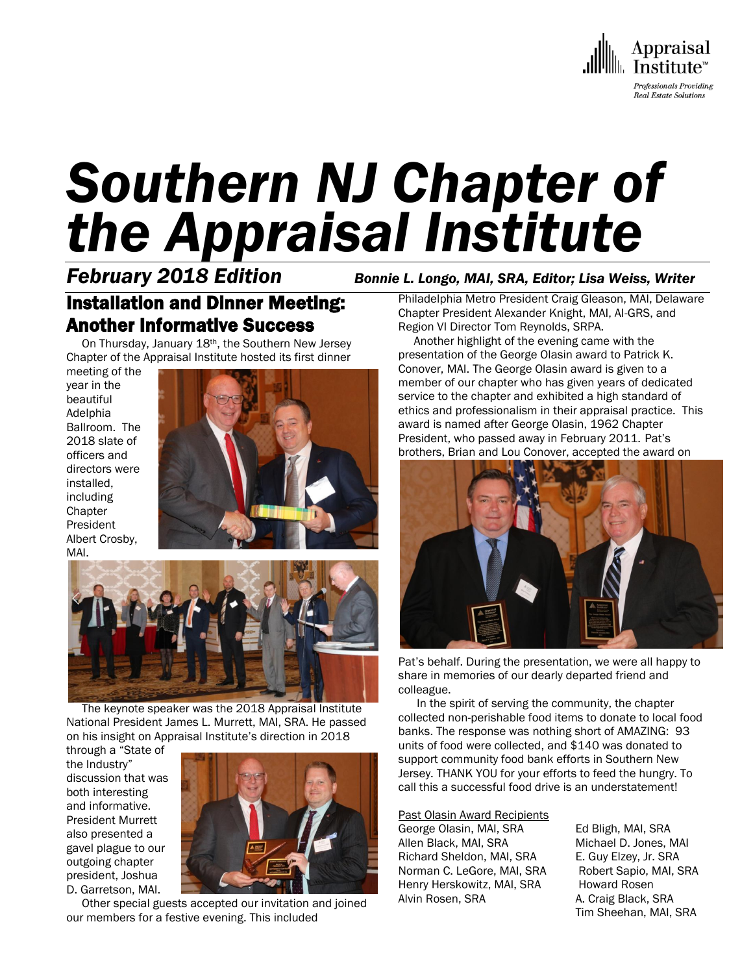

# *Southern NJ Chapter of the Appraisal Institute*

# Installation and Dinner Meeting: Another Informative Success

 On Thursday, January 18th, the Southern New Jersey Chapter of the Appraisal Institute hosted its first dinner

meeting of the year in the beautiful Adelphia Ballroom. The 2018 slate of officers and directors were installed, including **Chapter** President Albert Crosby, MAI.





 The keynote speaker was the 2018 Appraisal Institute National President James L. Murrett, MAI, SRA. He passed on his insight on Appraisal Institute's direction in 2018

through a "State of the Industry" discussion that was both interesting and informative. President Murrett also presented a gavel plague to our outgoing chapter president, Joshua D. Garretson, MAI.



 Other special guests accepted our invitation and joined our members for a festive evening. This included

*February 2018 Edition Bonnie L. Longo, MAI, SRA, Editor; Lisa Weiss, Writer*

Philadelphia Metro President Craig Gleason, MAI, Delaware Chapter President Alexander Knight, MAI, AI-GRS, and Region VI Director Tom Reynolds, SRPA.

 Another highlight of the evening came with the presentation of the George Olasin award to Patrick K. Conover, MAI. The George Olasin award is given to a member of our chapter who has given years of dedicated service to the chapter and exhibited a high standard of ethics and professionalism in their appraisal practice. This award is named after George Olasin, 1962 Chapter President, who passed away in February 2011. Pat's brothers, Brian and Lou Conover, accepted the award on



Pat's behalf. During the presentation, we were all happy to share in memories of our dearly departed friend and colleague.

 In the spirit of serving the community, the chapter collected non-perishable food items to donate to local food banks. The response was nothing short of AMAZING: 93 units of food were collected, and \$140 was donated to support community food bank efforts in Southern New Jersey. THANK YOU for your efforts to feed the hungry. To call this a successful food drive is an understatement!

Past Olasin Award Recipients George Olasin, MAI, SRA Ed Bligh, MAI, SRA Allen Black, MAI, SRA Michael D. Jones, MAI Richard Sheldon, MAI, SRA E. Guy Elzey, Jr. SRA Norman C. LeGore, MAI, SRA Robert Sapio, MAI, SRA Henry Herskowitz, MAI, SRA Howard Rosen Alvin Rosen, SRA A. Craig Black, SRA

Tim Sheehan, MAI, SRA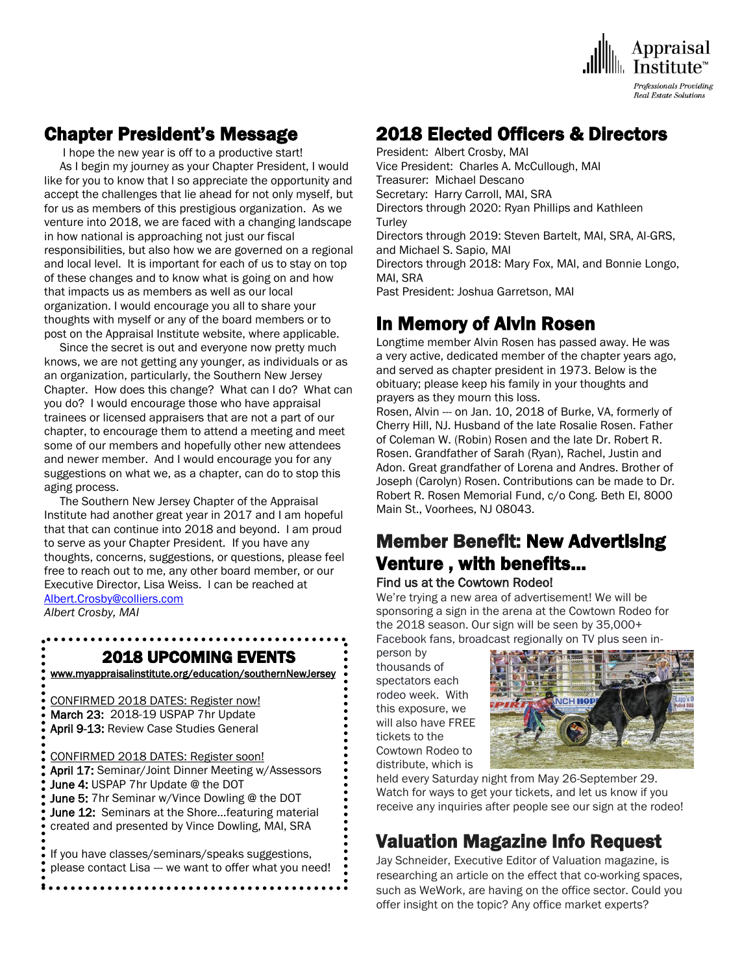

## Chapter President's Message

I hope the new year is off to a productive start!

 As I begin my journey as your Chapter President, I would like for you to know that I so appreciate the opportunity and accept the challenges that lie ahead for not only myself, but for us as members of this prestigious organization. As we venture into 2018, we are faced with a changing landscape in how national is approaching not just our fiscal responsibilities, but also how we are governed on a regional and local level. It is important for each of us to stay on top of these changes and to know what is going on and how that impacts us as members as well as our local organization. I would encourage you all to share your thoughts with myself or any of the board members or to post on the Appraisal Institute website, where applicable.

 Since the secret is out and everyone now pretty much knows, we are not getting any younger, as individuals or as an organization, particularly, the Southern New Jersey Chapter. How does this change? What can I do? What can you do? I would encourage those who have appraisal trainees or licensed appraisers that are not a part of our chapter, to encourage them to attend a meeting and meet some of our members and hopefully other new attendees and newer member. And I would encourage you for any suggestions on what we, as a chapter, can do to stop this aging process.

 The Southern New Jersey Chapter of the Appraisal Institute had another great year in 2017 and I am hopeful that that can continue into 2018 and beyond. I am proud to serve as your Chapter President. If you have any thoughts, concerns, suggestions, or questions, please feel free to reach out to me, any other board member, or our Executive Director, Lisa Weiss. I can be reached at [Albert.Crosby@colliers.com](mailto:Albert.Crosby@colliers.com)

*Albert Crosby, MAI*

 $\overline{\phantom{a}}$ 

## 2018 UPCOMING EVENTS

[www.myappraisalinstitute.org/education/southernNewJersey](http://www.myappraisalinstitute.org/education/southernNewJersey)

 CONFIRMED 2018 DATES: Register now! March 23: 2018-19 USPAP 7hr Update April 9-13: Review Case Studies General

CONFIRMED 2018 DATES: Register soon!

April 17: Seminar/Joint Dinner Meeting w/Assessors June 4: USPAP 7hr Update @ the DOT June 5: 7hr Seminar w/Vince Dowling @ the DOT June 12: Seminars at the Shore...featuring material created and presented by Vince Dowling, MAI, SRA

 If you have classes/seminars/speaks suggestions, please contact Lisa --- we want to offer what you need!

## 2018 Elected Officers & Directors

President: Albert Crosby, MAI Vice President: Charles A. McCullough, MAI Treasurer: Michael Descano Secretary: Harry Carroll, MAI, SRA Directors through 2020: Ryan Phillips and Kathleen **Turley** Directors through 2019: Steven Bartelt, MAI, SRA, AI-GRS, and Michael S. Sapio, MAI Directors through 2018: Mary Fox, MAI, and Bonnie Longo, MAI, SRA Past President: Joshua Garretson, MAI

# In Memory of Alvin Rosen

Longtime member Alvin Rosen has passed away. He was a very active, dedicated member of the chapter years ago, and served as chapter president in 1973. Below is the obituary; please keep his family in your thoughts and prayers as they mourn this loss.

Rosen, Alvin --- on Jan. 10, 2018 of Burke, VA, formerly of Cherry Hill, NJ. Husband of the late Rosalie Rosen. Father of Coleman W. (Robin) Rosen and the late Dr. Robert R. Rosen. Grandfather of Sarah (Ryan), Rachel, Justin and Adon. Great grandfather of Lorena and Andres. Brother of Joseph (Carolyn) Rosen. Contributions can be made to Dr. Robert R. Rosen Memorial Fund, c/o Cong. Beth El, 8000 Main St., Voorhees, NJ 08043.

# Member Benefit: New Advertising Venture , with benefits…

## Find us at the Cowtown Rodeo!

We're trying a new area of advertisement! We will be sponsoring a sign in the arena at the Cowtown Rodeo for the 2018 season. Our sign will be seen by 35,000+ Facebook fans, broadcast regionally on TV plus seen in-

person by thousands of spectators each rodeo week. With this exposure, we will also have FREE tickets to the Cowtown Rodeo to distribute, which is



held every Saturday night from May 26-September 29. Watch for ways to get your tickets, and let us know if you receive any inquiries after people see our sign at the rodeo!

# Valuation Magazine Info Request

Jay Schneider, Executive Editor of Valuation magazine, is researching an article on the effect that co-working spaces, such as WeWork, are having on the office sector. Could you offer insight on the topic? Any office market experts?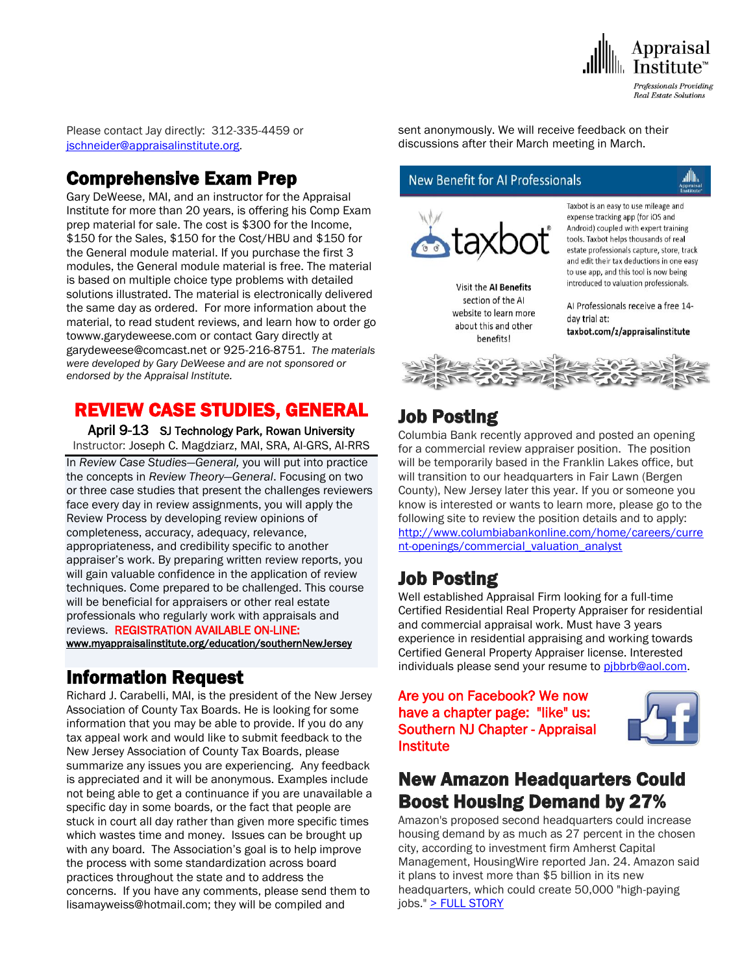

Please contact Jay directly: 312-335-4459 or [jschneider@appraisalinstitute.org.](mailto:jschneider@appraisalinstitute.org)

## Comprehensive Exam Prep

Gary DeWeese, MAI, and an instructor for the Appraisal Institute for more than 20 years, is offering his Comp Exam prep material for sale. The cost is \$300 for the Income, \$150 for the Sales, \$150 for the Cost/HBU and \$150 for the General module material. If you purchase the first 3 modules, the General module material is free. The material is based on multiple choice type problems with detailed solutions illustrated. The material is electronically delivered the same day as ordered. For more information about the material, to read student reviews, and learn how to order go towww.garydeweese.com or contact Gary directly at garydeweese@comcast.net or 925-216-8751. *The materials were developed by Gary DeWeese and are not sponsored or endorsed by the Appraisal Institute.*

# REVIEW CASE STUDIES, GENERAL

April 9-13 SJ Technology Park, Rowan University Instructor: Joseph C. Magdziarz, MAI, SRA, AI-GRS, AI-RRS In *Review Case Studies—General,* you will put into practice the concepts in *Review Theory—General*. Focusing on two or three case studies that present the challenges reviewers face every day in review assignments, you will apply the Review Process by developing review opinions of completeness, accuracy, adequacy, relevance, appropriateness, and credibility specific to another appraiser's work. By preparing written review reports, you will gain valuable confidence in the application of review techniques. Come prepared to be challenged. This course will be beneficial for appraisers or other real estate professionals who regularly work with appraisals and reviews. REGISTRATION AVAILABLE ON-LINE:

[www.myappraisalinstitute.org/education/southernNewJersey](http://www.myappraisalinstitute.org/education/southernNewJersey)

## Information Request

Richard J. Carabelli, MAI, is the president of the New Jersey Association of County Tax Boards. He is looking for some information that you may be able to provide. If you do any tax appeal work and would like to submit feedback to the New Jersey Association of County Tax Boards, please summarize any issues you are experiencing. Any feedback is appreciated and it will be anonymous. Examples include not being able to get a continuance if you are unavailable a specific day in some boards, or the fact that people are stuck in court all day rather than given more specific times which wastes time and money. Issues can be brought up with any board. The Association's goal is to help improve the process with some standardization across board practices throughout the state and to address the concerns. If you have any comments, please send them to lisamayweiss@hotmail.com; they will be compiled and

sent anonymously. We will receive feedback on their discussions after their March meeting in March.

## **New Benefit for AI Professionals**



Visit the AI Benefits section of the AI website to learn more about this and other benefits!

Taxbot is an easy to use mileage and expense tracking app (for iOS and Android) coupled with expert training tools. Taxbot helps thousands of real estate professionals capture, store, track and edit their tax deductions in one easy to use app, and this tool is now being introduced to valuation professionals.

Al Professionals receive a free 14day trial at: taxbot.com/z/appraisalinstitute



# Job Posting

Columbia Bank recently approved and posted an opening for a commercial review appraiser position. The position will be temporarily based in the Franklin Lakes office, but will transition to our headquarters in Fair Lawn (Bergen County), New Jersey later this year. If you or someone you know is interested or wants to learn more, please go to the following site to review the position details and to apply: [http://www.columbiabankonline.com/home/careers/curre](http://www.columbiabankonline.com/home/careers/current-openings/commercial_valuation_analyst) [nt-openings/commercial\\_valuation\\_analyst](http://www.columbiabankonline.com/home/careers/current-openings/commercial_valuation_analyst)

# Job Posting

Well established Appraisal Firm looking for a full-time Certified Residential Real Property Appraiser for residential and commercial appraisal work. Must have 3 years experience in residential appraising and working towards Certified General Property Appraiser license. Interested individuals please send your resume to pibbrb@aol.com.

## Are you on Facebook? We now have a chapter page: "like" us: Southern NJ Chapter - Appraisal **Institute**



## New Amazon Headquarters Could Boost Housing Demand by 27%

Amazon's proposed second headquarters could increase housing demand by as much as 27 percent in the chosen city, according to investment firm Amherst Capital Management, HousingWire reported Jan. 24. Amazon said it plans to invest more than \$5 billion in its new headquarters, which could create 50,000 "high-paying jobs." [> FULL STORY](http://send.appraisalinstitute.org/link.cfm?r=TyxXOooBFM-9kcaVyjABIA~~&pe=VdbDK2CR1-PZNHRlYNfa-Hvm_fIpJ7Ef9Yhw0vRXKPFOUZRPYVbQgWOBPye1ra4A9SdXHL3XcJ2HCNatWgd9dg~~&t=C8cUfMHdCLqFeo9LsCDItA~~)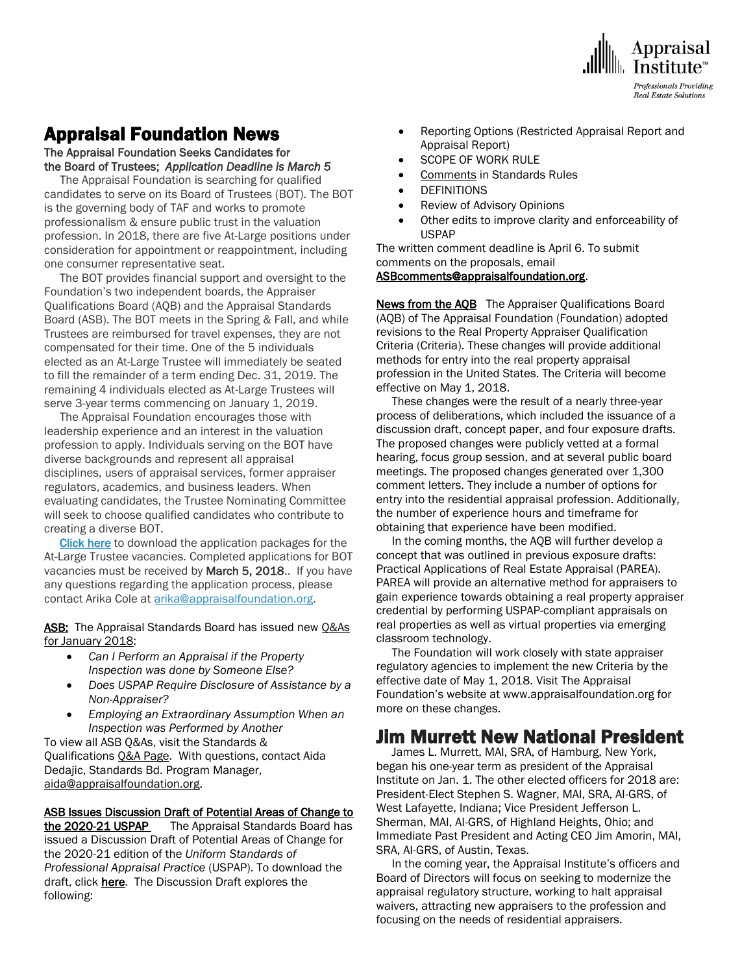

# Appraisal Foundation News

The Appraisal Foundation Seeks Candidates for the Board of Trustees; *Application Deadline is March 5* 

The Appraisal Foundation is searching for qualified candidates to serve on its Board of Trustees (BOT). The BOT is the governing body of TAF and works to promote professionalism & ensure public trust in the valuation profession. In 2018, there are five At-Large positions under consideration for appointment or reappointment, including one consumer representative seat.

 The BOT provides financial support and oversight to the Foundation's two independent boards, the Appraiser Qualifications Board (AQB) and the Appraisal Standards Board (ASB). The BOT meets in the Spring & Fall, and while Trustees are reimbursed for travel expenses, they are not compensated for their time. One of the 5 individuals elected as an At-Large Trustee will immediately be seated to fill the remainder of a term ending Dec. 31, 2019. The remaining 4 individuals elected as At-Large Trustees will serve 3-year terms commencing on January 1, 2019.

 The Appraisal Foundation encourages those with leadership experience and an interest in the valuation profession to apply. Individuals serving on the BOT have diverse backgrounds and represent all appraisal disciplines, users of appraisal services, former appraiser regulators, academics, and business leaders. When evaluating candidates, the Trustee Nominating Committee will seek to choose qualified candidates who contribute to creating a diverse BOT.

[Click here](http://click.icptrack.com/icp/relay.php?r=12565992&msgid=418526&act=OH2R&c=1337144&destination=https%3A%2F%2Fwww.cognitoforms.com%2FTheAppraisalFoundation1%2F_2018AtLargeTrusteeApplication) to download the application packages for the At-Large Trustee vacancies. Completed applications for BOT vacancies must be received by March 5, 2018.. If you have any questions regarding the application process, please contact Arika Cole at [arika@appraisalfoundation.org.](mailto:arika@appraisalfoundation.org?subject=At-Large%20Trustee%20Application)

ASB: The Appraisal Standards Board has issued new O&As [for January 2018:](http://click.icptrack.com/icp/relay.php?r=12565992&msgid=419275&act=OH2R&c=1337144&destination=https%3A%2F%2Fappraisalfoundation.sharefile.com%2Fd-s546f2eeba58479b8)

- *Can I Perform an Appraisal if the Property Inspection was done by Someone Else?*
- *Does USPAP Require Disclosure of Assistance by a Non-Appraiser?*
- *Employing an Extraordinary Assumption When an Inspection was Performed by Another*

To view all ASB Q&As, visit the Standards & Qualifications [Q&A Page.](http://click.icptrack.com/icp/relay.php?r=12565992&msgid=419275&act=OH2R&c=1337144&destination=https%3A%2F%2Fappraisalfoundation.org%2Fimis%2FTAF%2FStandards%2FQ_As%2FTAF%2FQAs.aspx) With questions, contact Aida Dedajic, Standards Bd. Program Manager, [aida@appraisalfoundation.org.](mailto:aida@appraisalfoundation.org)

#### ASB Issues Discussion Draft of Potential Areas of Change to

the 2020-21 USPAP The Appraisal Standards Board has issued a Discussion Draft of Potential Areas of Change for the 2020-21 edition of the *Uniform Standards of Professional Appraisal Practice* (USPAP). To download the draft, click [here.](http://click.icptrack.com/icp/relay.php?r=12565992&msgid=420056&act=OH2R&c=1337144&destination=https%3A%2F%2Fappraisalfoundation.sharefile.com%2Fd-s0263242916d424b8) The Discussion Draft explores the following:

- Reporting Options (Restricted Appraisal Report and Appraisal Report)
- SCOPE OF WORK RULE
- Comments in Standards Rules
- **•** DEFINITIONS
- Review of Advisory Opinions
- Other edits to improve clarity and enforceability of USPAP

The written comment deadline is April 6. To submit comments on the proposals, email [ASBcomments@appraisalfoundation.org.](mailto:ASBcomments@appraisalfoundation.org)

News from the AQB The Appraiser Qualifications Board (AQB) of The Appraisal Foundation (Foundation) adopted revisions to the Real Property Appraiser Qualification Criteria (Criteria). These changes will provide additional methods for entry into the real property appraisal profession in the United States. The Criteria will become effective on May 1, 2018.

 These changes were the result of a nearly three-year process of deliberations, which included the issuance of a discussion draft, concept paper, and four exposure drafts. The proposed changes were publicly vetted at a formal hearing, focus group session, and at several public board meetings. The proposed changes generated over 1,300 comment letters. They include a number of options for entry into the residential appraisal profession. Additionally, the number of experience hours and timeframe for obtaining that experience have been modified.

 In the coming months, the AQB will further develop a concept that was outlined in previous exposure drafts: Practical Applications of Real Estate Appraisal (PAREA). PAREA will provide an alternative method for appraisers to gain experience towards obtaining a real property appraiser credential by performing USPAP-compliant appraisals on real properties as well as virtual properties via emerging classroom technology.

 The Foundation will work closely with state appraiser regulatory agencies to implement the new Criteria by the effective date of May 1, 2018. Visit The Appraisal Foundation's website at www.appraisalfoundation.org for more on these changes.

## Jim Murrett New National President

 James L. Murrett, MAI, SRA, of Hamburg, New York, began his one-year term as president of the Appraisal Institute on Jan. 1. The other elected officers for 2018 are: President-Elect Stephen S. Wagner, MAI, SRA, AI-GRS, of West Lafayette, Indiana; Vice President Jefferson L. Sherman, MAI, AI-GRS, of Highland Heights, Ohio; and Immediate Past President and Acting CEO Jim Amorin, MAI, SRA, AI-GRS, of Austin, Texas.

 In the coming year, the Appraisal Institute's officers and Board of Directors will focus on seeking to modernize the appraisal regulatory structure, working to halt appraisal waivers, attracting new appraisers to the profession and focusing on the needs of residential appraisers.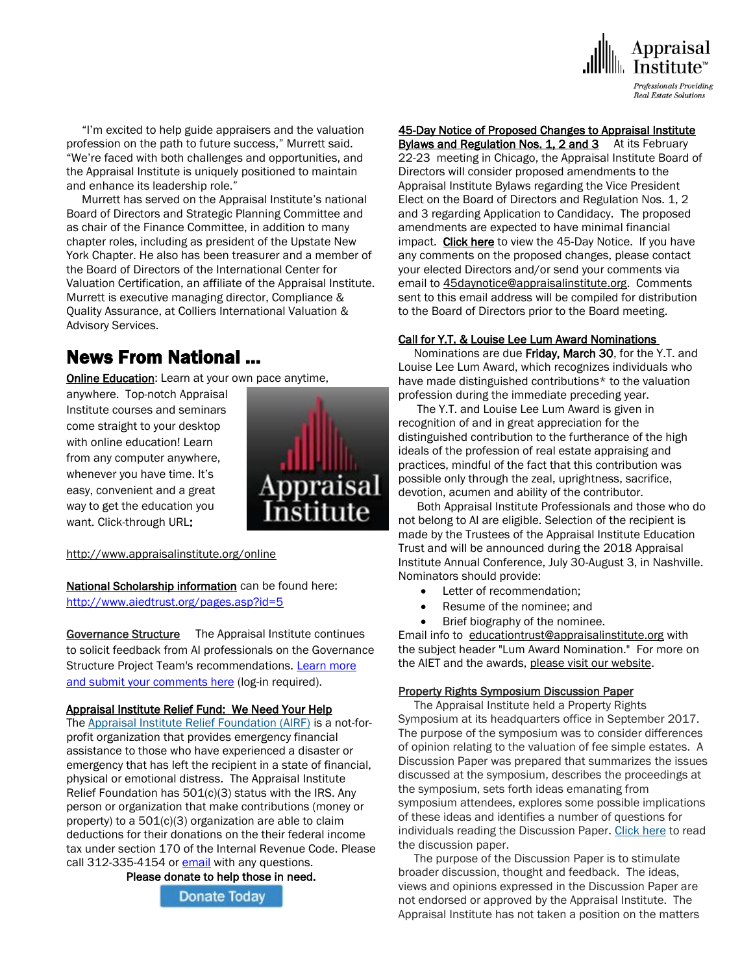

 "I'm excited to help guide appraisers and the valuation profession on the path to future success," Murrett said. "We're faced with both challenges and opportunities, and the Appraisal Institute is uniquely positioned to maintain and enhance its leadership role."

 Murrett has served on the Appraisal Institute's national Board of Directors and Strategic Planning Committee and as chair of the Finance Committee, in addition to many chapter roles, including as president of the Upstate New York Chapter. He also has been treasurer and a member of the Board of Directors of the International Center for Valuation Certification, an affiliate of the Appraisal Institute. Murrett is executive managing director, Compliance & Quality Assurance, at Colliers International Valuation & Advisory Services.

## News From National …

**[Online Education:](http://www.mmsend50.com/ls.cfm?r=99596491&sid=8974475&m=957997&u=Appraise&s=http://www.appraisalinstitute.org/online)** Learn at your own pace anytime,

anywhere. Top-notch Appraisal Institute courses and seminars come straight to your desktop with online education! Learn from any computer anywhere, whenever you have time. It's easy, convenient and a great way to get the education you want. Click-through URL:



[http://www.appraisalinstitute.org/online](http://www.mmsend50.com/ls.cfm?r=99596491&sid=8974477&m=957997&u=Appraise&s=http://www.appraisalinstitute.org/online)

National Scholarship information can be found here: <http://www.aiedtrust.org/pages.asp?id=5>

Governance Structure The Appraisal Institute continues to solicit feedback from AI professionals on the Governance Structure Project Team's recommendations. [Learn more](http://send.appraisalinstitute.org/link.cfm?r=TyxXOooBFM-9kcaVyjABIA~~&pe=1rZ8I8FuHXoUe6u8aTTb6I5E_Ug9g6VVYTOPv4W18lTO3TEPJBPQ9rSfLOgoO7mg0sso7X5Vw6wNPk5j1vMviA~~&t=ncJG-FJnh4RyExZBZpzCUA~~)  [and submit your comments here](http://send.appraisalinstitute.org/link.cfm?r=TyxXOooBFM-9kcaVyjABIA~~&pe=1rZ8I8FuHXoUe6u8aTTb6I5E_Ug9g6VVYTOPv4W18lTO3TEPJBPQ9rSfLOgoO7mg0sso7X5Vw6wNPk5j1vMviA~~&t=ncJG-FJnh4RyExZBZpzCUA~~) (log-in required).

#### Appraisal Institute Relief Fund: We Need Your Help

The [Appraisal Institute Relief Foundation \(AIRF\)](http://send.appraisalinstitute.org/link.cfm?r=b0cu52FEpQ5beQ1mo2g1Ag~~&pe=tk_FHh1loQtdo4qUJyWR5RHLYBx7c0f6WYZDh9hX4VE_7_vzuz4FsVclEUog0MOe55yrZMXkbsOM8IHpG_PQDQ~~) is a not-forprofit organization that provides emergency financial assistance to those who have experienced a disaster or emergency that has left the recipient in a state of financial, physical or emotional distress. The Appraisal Institute Relief Foundation has 501(c)(3) status with the IRS. Any person or organization that make contributions (money or property) to a 501(c)(3) organization are able to claim deductions for their donations on the their federal income tax under section 170 of the Internal Revenue Code. Please call 312-335-4154 or [email](mailto:relieffoundation@appraisalinstitute.org) with any questions.

Please donate to help those in need.



## 45-Day Notice of Proposed Changes to Appraisal Institute

Bylaws and Regulation Nos. 1, 2 and 3 At its February 22-23 meeting in Chicago, the Appraisal Institute Board of Directors will consider proposed amendments to the Appraisal Institute Bylaws regarding the Vice President Elect on the Board of Directors and Regulation Nos. 1, 2 and 3 regarding Application to Candidacy. The proposed amendments are expected to have minimal financial impact. [Click here](http://send.appraisalinstitute.org/link.cfm?r=TyxXOooBFM-9kcaVyjABIA~~&pe=RlI86ATKtk81tu6B-d1pjDjVbyFzBpjBiHCCEbA1YPrH8Zkt5iu7psP2VamNUNFfSl3NlpRjtnZW6NtCbQm5LA~~&t=CwjxVaoRWfeKmEpkijFNJA~~) to view the 45-Day Notice. If you have any comments on the proposed changes, please contact your elected Directors and/or send your comments via email to [45daynotice@appraisalinstitute.org.](mailto:45daynotice@appraisalinstitute.org) Comments sent to this email address will be compiled for distribution to the Board of Directors prior to the Board meeting.

### Call for Y.T. & Louise Lee Lum Award Nominations

Nominations are due **Friday, March 30**, for the Y.T. and Louise Lee Lum Award, which recognizes individuals who have made distinguished contributions\* to the valuation profession during the immediate preceding year.

 The Y.T. and Louise Lee Lum Award is given in recognition of and in great appreciation for the distinguished contribution to the furtherance of the high ideals of the profession of real estate appraising and practices, mindful of the fact that this contribution was possible only through the zeal, uprightness, sacrifice, devotion, acumen and ability of the contributor.

 Both Appraisal Institute Professionals and those who do not belong to AI are eligible. Selection of the recipient is made by the Trustees of the Appraisal Institute Education Trust and will be announced during the 2018 Appraisal Institute Annual Conference, July 30-August 3, in Nashville. Nominators should provide:

- Letter of recommendation;
- Resume of the nominee; and
- Brief biography of the nominee.

Email info to [educationtrust@appraisalinstitute.org](mailto:educationtrust@appraisalinstitue.org?subject=Lum%20Award%20Nomination) with the subject header "Lum Award Nomination." For more on the AIET and the awards, [please visit our website.](http://send.appraisalinstitute.org/link.cfm?r=TyxXOooBFM-9kcaVyjABIA~~&pe=gZ5_UwDTBBsvo_osY3RFunt8N98WMdE0Ej-EcR899fgDhSxKPOlZGqWeUjIt7nH2v92SrUdZrqge5tHxyRNLYg~~&t=nWsGHeIkoc2oX3T_SEZDTQ~~)

#### Property Rights Symposium Discussion Paper

 The Appraisal Institute held a Property Rights Symposium at its headquarters office in September 2017. The purpose of the symposium was to consider differences of opinion relating to the valuation of fee simple estates. A Discussion Paper was prepared that summarizes the issues discussed at the symposium, describes the proceedings at the symposium, sets forth ideas emanating from symposium attendees, explores some possible implications of these ideas and identifies a number of questions for individuals reading the Discussion Paper. [Click here](http://send.appraisalinstitute.org/link.cfm?r=TyxXOooBFM-9kcaVyjABIA~~&pe=Ujd5A3XbZ7aDE6htdQnILpZfGNx6sbn9sKd_zXnBVgPgntIUZ8v4nj9qJFNlPMwwK2_bqeTDYLeA51bPFiaZnQ~~&t=uIZtgUaWirJCyoxBBa87CA~~) to read the discussion paper.

 The purpose of the Discussion Paper is to stimulate broader discussion, thought and feedback. The ideas, views and opinions expressed in the Discussion Paper are not endorsed or approved by the Appraisal Institute. The Appraisal Institute has not taken a position on the matters